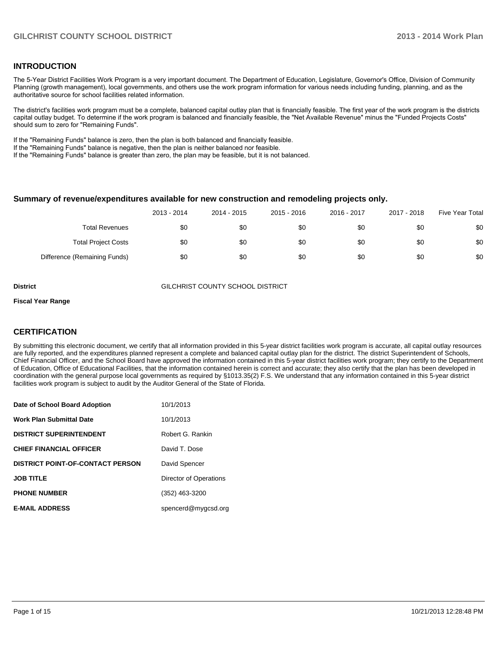#### **INTRODUCTION**

The 5-Year District Facilities Work Program is a very important document. The Department of Education, Legislature, Governor's Office, Division of Community Planning (growth management), local governments, and others use the work program information for various needs including funding, planning, and as the authoritative source for school facilities related information.

The district's facilities work program must be a complete, balanced capital outlay plan that is financially feasible. The first year of the work program is the districts capital outlay budget. To determine if the work program is balanced and financially feasible, the "Net Available Revenue" minus the "Funded Projects Costs" should sum to zero for "Remaining Funds".

If the "Remaining Funds" balance is zero, then the plan is both balanced and financially feasible.

If the "Remaining Funds" balance is negative, then the plan is neither balanced nor feasible.

If the "Remaining Funds" balance is greater than zero, the plan may be feasible, but it is not balanced.

#### **Summary of revenue/expenditures available for new construction and remodeling projects only.**

|                              | 2013 - 2014 | 2014 - 2015 | 2015 - 2016 | 2016 - 2017 | 2017 - 2018 | Five Year Total |
|------------------------------|-------------|-------------|-------------|-------------|-------------|-----------------|
| <b>Total Revenues</b>        | \$0         | \$0         | \$0         | \$0         | \$0         | \$0             |
| <b>Total Project Costs</b>   | \$0         | \$0         | \$0         | \$0         | \$0         | \$0             |
| Difference (Remaining Funds) | \$0         | \$0         | \$0         | \$0         | \$0         | \$0             |

**District** GILCHRIST COUNTY SCHOOL DISTRICT

#### **Fiscal Year Range**

### **CERTIFICATION**

By submitting this electronic document, we certify that all information provided in this 5-year district facilities work program is accurate, all capital outlay resources are fully reported, and the expenditures planned represent a complete and balanced capital outlay plan for the district. The district Superintendent of Schools, Chief Financial Officer, and the School Board have approved the information contained in this 5-year district facilities work program; they certify to the Department of Education, Office of Educational Facilities, that the information contained herein is correct and accurate; they also certify that the plan has been developed in coordination with the general purpose local governments as required by §1013.35(2) F.S. We understand that any information contained in this 5-year district facilities work program is subject to audit by the Auditor General of the State of Florida.

| Date of School Board Adoption           | 10/1/2013              |
|-----------------------------------------|------------------------|
| <b>Work Plan Submittal Date</b>         | 10/1/2013              |
| <b>DISTRICT SUPERINTENDENT</b>          | Robert G. Rankin       |
| <b>CHIEF FINANCIAL OFFICER</b>          | David T. Dose          |
| <b>DISTRICT POINT-OF-CONTACT PERSON</b> | David Spencer          |
| <b>JOB TITLE</b>                        | Director of Operations |
| <b>PHONE NUMBER</b>                     | (352) 463-3200         |
| <b>E-MAIL ADDRESS</b>                   | spencerd@mygcsd.org    |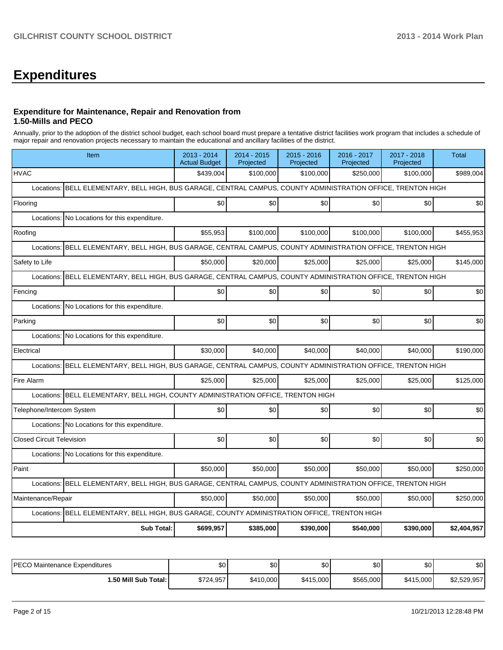# **Expenditures**

### **Expenditure for Maintenance, Repair and Renovation from 1.50-Mills and PECO**

Annually, prior to the adoption of the district school budget, each school board must prepare a tentative district facilities work program that includes a schedule of major repair and renovation projects necessary to maintain the educational and ancillary facilities of the district.

| Item                                                                                                             | 2013 - 2014<br><b>Actual Budget</b> | 2014 - 2015<br>Projected | 2015 - 2016<br>Projected | 2016 - 2017<br>Projected | 2017 - 2018<br>Projected | <b>Total</b> |  |  |  |  |
|------------------------------------------------------------------------------------------------------------------|-------------------------------------|--------------------------|--------------------------|--------------------------|--------------------------|--------------|--|--|--|--|
| <b>HVAC</b>                                                                                                      | \$439,004                           | \$100,000                | \$100,000                | \$250,000                | \$100,000                | \$989,004    |  |  |  |  |
| BELL ELEMENTARY, BELL HIGH, BUS GARAGE, CENTRAL CAMPUS, COUNTY ADMINISTRATION OFFICE, TRENTON HIGH<br>Locations: |                                     |                          |                          |                          |                          |              |  |  |  |  |
| Flooring                                                                                                         | \$0                                 | \$0                      | \$0                      | \$0                      | \$0                      | \$0          |  |  |  |  |
| Locations: No Locations for this expenditure.                                                                    |                                     |                          |                          |                          |                          |              |  |  |  |  |
| Roofing                                                                                                          | \$55,953                            | \$100,000                | \$100,000                | \$100,000                | \$100,000                | \$455,953    |  |  |  |  |
| BELL ELEMENTARY, BELL HIGH, BUS GARAGE, CENTRAL CAMPUS, COUNTY ADMINISTRATION OFFICE, TRENTON HIGH<br>Locations: |                                     |                          |                          |                          |                          |              |  |  |  |  |
| Safety to Life                                                                                                   | \$50,000                            | \$20,000                 | \$25,000                 | \$25,000                 | \$25,000                 | \$145,000    |  |  |  |  |
| BELL ELEMENTARY, BELL HIGH, BUS GARAGE, CENTRAL CAMPUS, COUNTY ADMINISTRATION OFFICE, TRENTON HIGH<br>Locations: |                                     |                          |                          |                          |                          |              |  |  |  |  |
| Fencing                                                                                                          | \$0                                 | \$0                      | \$0                      | \$0                      | \$0                      | \$0          |  |  |  |  |
| Locations: No Locations for this expenditure.                                                                    |                                     |                          |                          |                          |                          |              |  |  |  |  |
| Parking                                                                                                          | \$0                                 | \$0                      | \$0                      | \$0                      | \$0                      | \$0          |  |  |  |  |
| Locations:<br>No Locations for this expenditure.                                                                 |                                     |                          |                          |                          |                          |              |  |  |  |  |
| Electrical                                                                                                       | \$30,000                            | \$40,000                 | \$40,000                 | \$40,000                 | \$40,000                 | \$190,000    |  |  |  |  |
| BELL ELEMENTARY, BELL HIGH, BUS GARAGE, CENTRAL CAMPUS, COUNTY ADMINISTRATION OFFICE, TRENTON HIGH<br>Locations: |                                     |                          |                          |                          |                          |              |  |  |  |  |
| Fire Alarm                                                                                                       | \$25,000                            | \$25,000                 | \$25,000                 | \$25,000                 | \$25,000                 | \$125,000    |  |  |  |  |
| Locations: BELL ELEMENTARY, BELL HIGH, COUNTY ADMINISTRATION OFFICE, TRENTON HIGH                                |                                     |                          |                          |                          |                          |              |  |  |  |  |
| Telephone/Intercom System                                                                                        | \$0                                 | \$0                      | \$0                      | \$0                      | \$0                      | \$0          |  |  |  |  |
| Locations: No Locations for this expenditure.                                                                    |                                     |                          |                          |                          |                          |              |  |  |  |  |
| <b>Closed Circuit Television</b>                                                                                 | \$0                                 | \$0                      | \$0                      | \$0                      | \$0                      | \$0          |  |  |  |  |
| Locations: No Locations for this expenditure.                                                                    |                                     |                          |                          |                          |                          |              |  |  |  |  |
| Paint                                                                                                            | \$50,000                            | \$50,000                 | \$50,000                 | \$50,000                 | \$50,000                 | \$250,000    |  |  |  |  |
| Locations: BELL ELEMENTARY, BELL HIGH, BUS GARAGE, CENTRAL CAMPUS, COUNTY ADMINISTRATION OFFICE, TRENTON HIGH    |                                     |                          |                          |                          |                          |              |  |  |  |  |
| Maintenance/Repair                                                                                               | \$50,000                            | \$50,000                 | \$50,000                 | \$50,000                 | \$50,000                 | \$250,000    |  |  |  |  |
| Locations: BELL ELEMENTARY, BELL HIGH, BUS GARAGE, COUNTY ADMINISTRATION OFFICE, TRENTON HIGH                    |                                     |                          |                          |                          |                          |              |  |  |  |  |
| <b>Sub Total:</b>                                                                                                | \$699,957                           | \$385,000                | \$390,000                | \$540,000                | \$390,000                | \$2,404,957  |  |  |  |  |

| PECO Maintenance Expenditures | \$0       | \$0       | \$0       | \$0       | \$0       | \$0         |
|-------------------------------|-----------|-----------|-----------|-----------|-----------|-------------|
| l.50 Mill Sub Total:          | \$724,957 | \$410.000 | \$415,000 | \$565,000 | \$415,000 | \$2,529,957 |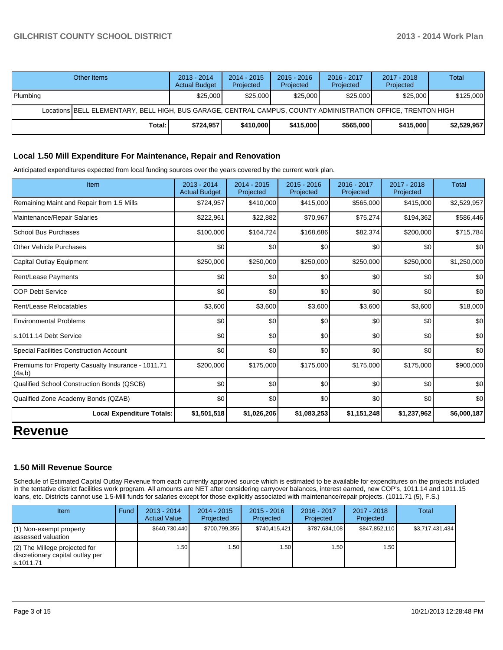|          | Other Items                                                                                                  | $2013 - 2014$<br><b>Actual Budget</b> | $2014 - 2015$<br>Projected | $2015 - 2016$<br>Projected | 2016 - 2017<br>Projected | $2017 - 2018$<br>Projected | Total       |  |  |  |
|----------|--------------------------------------------------------------------------------------------------------------|---------------------------------------|----------------------------|----------------------------|--------------------------|----------------------------|-------------|--|--|--|
| Plumbing |                                                                                                              | \$25,000                              | \$25,000                   | \$25,000                   | \$25,000                 | \$25,000                   | \$125,000   |  |  |  |
|          | Locations BELL ELEMENTARY, BELL HIGH, BUS GARAGE, CENTRAL CAMPUS, COUNTY ADMINISTRATION OFFICE, TRENTON HIGH |                                       |                            |                            |                          |                            |             |  |  |  |
|          | Total:                                                                                                       | \$724.957                             | \$410,000                  | \$415,000                  | \$565,000                | \$415,000                  | \$2,529,957 |  |  |  |

#### **Local 1.50 Mill Expenditure For Maintenance, Repair and Renovation**

Anticipated expenditures expected from local funding sources over the years covered by the current work plan.

| Item                                                         | 2013 - 2014<br><b>Actual Budget</b> | $2014 - 2015$<br>Projected | 2015 - 2016<br>Projected | 2016 - 2017<br>Projected | $2017 - 2018$<br>Projected | <b>Total</b> |
|--------------------------------------------------------------|-------------------------------------|----------------------------|--------------------------|--------------------------|----------------------------|--------------|
| Remaining Maint and Repair from 1.5 Mills                    | \$724,957                           | \$410,000                  | \$415,000                | \$565,000                | \$415,000                  | \$2,529,957  |
| Maintenance/Repair Salaries                                  | \$222,961                           | \$22,882                   | \$70,967                 | \$75,274                 | \$194,362                  | \$586,446    |
| <b>School Bus Purchases</b>                                  | \$100,000                           | \$164,724                  | \$168,686                | \$82,374                 | \$200,000                  | \$715,784    |
| Other Vehicle Purchases                                      | \$0                                 | \$0                        | \$0                      | \$0                      | \$0                        | \$0          |
| Capital Outlay Equipment                                     | \$250,000                           | \$250,000                  | \$250,000                | \$250,000                | \$250,000                  | \$1,250,000  |
| Rent/Lease Payments                                          | \$0                                 | \$0                        | \$0                      | \$0                      | \$0                        | \$0          |
| <b>COP Debt Service</b>                                      | \$0                                 | \$0                        | \$0                      | \$0                      | \$0                        | \$0          |
| Rent/Lease Relocatables                                      | \$3,600                             | \$3,600                    | \$3,600                  | \$3,600                  | \$3,600                    | \$18,000     |
| <b>Environmental Problems</b>                                | \$0                                 | \$0                        | \$0                      | \$0                      | \$0                        | \$0          |
| ls.1011.14 Debt Service                                      | \$0                                 | \$0                        | \$0                      | \$0                      | \$0                        | \$0          |
| Special Facilities Construction Account                      | \$0                                 | \$0                        | \$0                      | \$0                      | \$0                        | \$0          |
| Premiums for Property Casualty Insurance - 1011.71<br>(4a,b) | \$200,000                           | \$175,000                  | \$175,000                | \$175,000                | \$175,000                  | \$900,000    |
| Qualified School Construction Bonds (QSCB)                   | \$0                                 | \$0                        | \$0                      | \$0                      | \$0                        | \$0          |
| Qualified Zone Academy Bonds (QZAB)                          | \$0                                 | \$0                        | \$0                      | \$0                      | \$0                        | \$0          |
| <b>Local Expenditure Totals:</b>                             | \$1,501,518                         | \$1,026,206                | \$1,083,253              | \$1,151,248              | \$1,237,962                | \$6,000,187  |
| Davaru                                                       |                                     |                            |                          |                          |                            |              |

# **Revenue**

#### **1.50 Mill Revenue Source**

Schedule of Estimated Capital Outlay Revenue from each currently approved source which is estimated to be available for expenditures on the projects included in the tentative district facilities work program. All amounts are NET after considering carryover balances, interest earned, new COP's, 1011.14 and 1011.15 loans, etc. Districts cannot use 1.5-Mill funds for salaries except for those explicitly associated with maintenance/repair projects. (1011.71 (5), F.S.)

| <b>Item</b>                                                                         | Fund | $2013 - 2014$<br><b>Actual Value</b> | $2014 - 2015$<br>Projected | $2015 - 2016$<br>Projected | 2016 - 2017<br>Projected | $2017 - 2018$<br>Projected | Total           |
|-------------------------------------------------------------------------------------|------|--------------------------------------|----------------------------|----------------------------|--------------------------|----------------------------|-----------------|
| $(1)$ Non-exempt property<br>lassessed valuation                                    |      | \$640,730,440                        | \$700,799,355              | \$740,415,421              | \$787,634,108            | \$847.852.110              | \$3,717,431,434 |
| $(2)$ The Millege projected for<br>I discretionary capital outlay per<br>Is.1011.71 |      | 1.50 l                               | .501                       | 1.50                       | 1.50                     | 1.50                       |                 |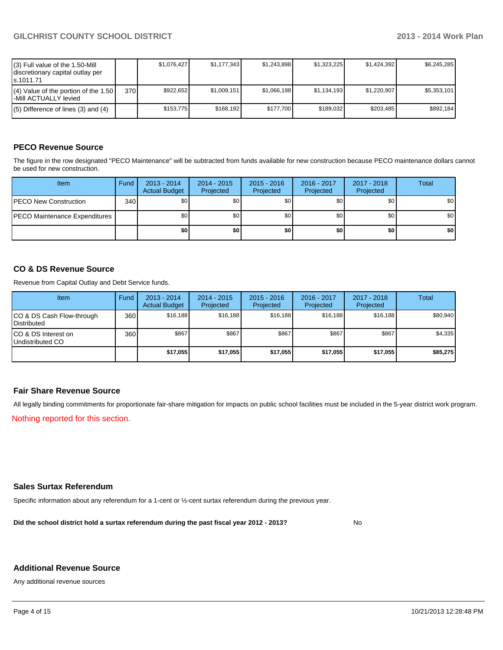| (3) Full value of the 1.50-Mill<br>discretionary capital outlay per<br>ls.1011.71 |      | \$1.076.427 | \$1.177.343 | \$1.243.898 | \$1.323.225 | \$1.424.392 | \$6.245.285 |
|-----------------------------------------------------------------------------------|------|-------------|-------------|-------------|-------------|-------------|-------------|
| $(4)$ Value of the portion of the 1.50<br>l-Mill ACTUALLY levied                  | 370I | \$922.652   | \$1,009,151 | \$1,066,198 | \$1.134.193 | \$1.220.907 | \$5.353.101 |
| $(5)$ Difference of lines (3) and (4)                                             |      | \$153.775   | \$168.192   | \$177.700   | \$189.032   | \$203.485   | \$892.184   |

## **PECO Revenue Source**

The figure in the row designated "PECO Maintenance" will be subtracted from funds available for new construction because PECO maintenance dollars cannot be used for new construction.

| Item                                  | Fund | $2013 - 2014$<br><b>Actual Budget</b> | $2014 - 2015$<br>Projected | $2015 - 2016$<br>Projected | 2016 - 2017<br>Projected | 2017 - 2018<br>Projected | Total |
|---------------------------------------|------|---------------------------------------|----------------------------|----------------------------|--------------------------|--------------------------|-------|
| <b>IPECO New Construction</b>         | 340  | \$0 <sub>1</sub>                      | \$0                        | \$0                        | \$0 <sub>1</sub>         | \$0                      | \$0   |
| <b>IPECO Maintenance Expenditures</b> |      | \$0 <sub>1</sub>                      | \$0                        | \$0                        | \$0 <sub>1</sub>         | \$0 I                    | \$0   |
|                                       |      | \$O                                   | \$0                        | \$0                        | \$0                      | \$0                      | \$0   |

### **CO & DS Revenue Source**

Revenue from Capital Outlay and Debt Service funds.

| Item                                               | Fund             | $2013 - 2014$<br><b>Actual Budget</b> | $2014 - 2015$<br>Projected | $2015 - 2016$<br>Projected | $2016 - 2017$<br>Projected | $2017 - 2018$<br>Projected | Total    |
|----------------------------------------------------|------------------|---------------------------------------|----------------------------|----------------------------|----------------------------|----------------------------|----------|
| ICO & DS Cash Flow-through<br><b>I</b> Distributed | 360              | \$16.188                              | \$16,188                   | \$16,188                   | \$16.188                   | \$16,188                   | \$80,940 |
| ICO & DS Interest on<br>Undistributed CO           | 360 <sup>1</sup> | \$867                                 | \$867                      | \$867                      | \$867                      | \$867                      | \$4,335  |
|                                                    |                  | \$17,055                              | \$17,055                   | \$17.055                   | \$17,055                   | \$17,055                   | \$85,275 |

### **Fair Share Revenue Source**

All legally binding commitments for proportionate fair-share mitigation for impacts on public school facilities must be included in the 5-year district work program.

Nothing reported for this section.

#### **Sales Surtax Referendum**

Specific information about any referendum for a 1-cent or ½-cent surtax referendum during the previous year.

**Did the school district hold a surtax referendum during the past fiscal year 2012 - 2013?**

No

#### **Additional Revenue Source**

Any additional revenue sources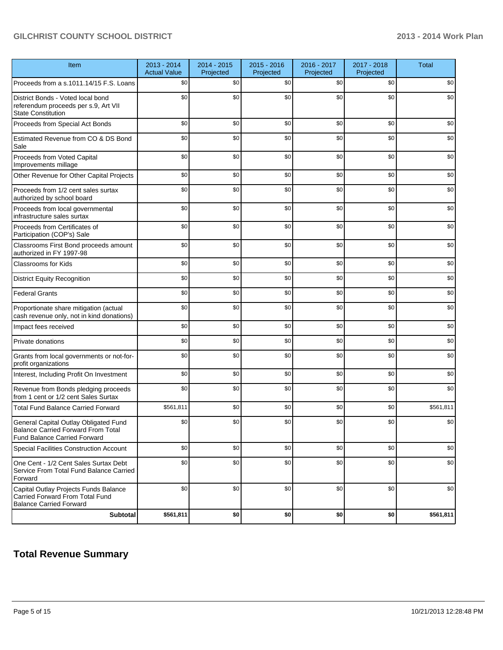| Item                                                                                                                      | $2013 - 2014$<br><b>Actual Value</b> | 2014 - 2015<br>Projected | $2015 - 2016$<br>Projected | 2016 - 2017<br>Projected | 2017 - 2018<br>Projected | <b>Total</b> |
|---------------------------------------------------------------------------------------------------------------------------|--------------------------------------|--------------------------|----------------------------|--------------------------|--------------------------|--------------|
| Proceeds from a s.1011.14/15 F.S. Loans                                                                                   | \$0                                  | \$0                      | \$0                        | \$0                      | \$0                      | \$0          |
| District Bonds - Voted local bond<br>referendum proceeds per s.9, Art VII<br><b>State Constitution</b>                    | \$0                                  | \$0                      | \$0                        | \$0                      | \$0                      | \$0          |
| Proceeds from Special Act Bonds                                                                                           | \$0                                  | \$0                      | \$0                        | \$0                      | \$0                      | \$0          |
| Estimated Revenue from CO & DS Bond<br>Sale                                                                               | \$0                                  | \$0                      | \$0                        | \$0                      | \$0                      | \$0          |
| Proceeds from Voted Capital<br>Improvements millage                                                                       | \$0                                  | \$0                      | \$0                        | \$0                      | \$0                      | \$0          |
| Other Revenue for Other Capital Projects                                                                                  | \$0                                  | \$0                      | \$0                        | \$0                      | \$0                      | \$0          |
| Proceeds from 1/2 cent sales surtax<br>authorized by school board                                                         | \$0                                  | \$0                      | \$0                        | \$0                      | \$0                      | \$0          |
| Proceeds from local governmental<br>infrastructure sales surtax                                                           | \$0                                  | \$0                      | \$0                        | \$0                      | \$0                      | \$0          |
| Proceeds from Certificates of<br>Participation (COP's) Sale                                                               | \$0                                  | \$0                      | \$0                        | \$0                      | \$0                      | \$0          |
| Classrooms First Bond proceeds amount<br>authorized in FY 1997-98                                                         | \$0                                  | \$0                      | \$0                        | \$0                      | \$0                      | \$0          |
| <b>Classrooms for Kids</b>                                                                                                | \$0                                  | \$0                      | \$0                        | \$0                      | \$0                      | \$0          |
| <b>District Equity Recognition</b>                                                                                        | \$0                                  | \$0                      | \$0                        | \$0                      | \$0                      | \$0          |
| <b>Federal Grants</b>                                                                                                     | \$0                                  | \$0                      | \$0                        | \$0                      | \$0                      | \$0          |
| Proportionate share mitigation (actual<br>cash revenue only, not in kind donations)                                       | \$0                                  | \$0                      | \$0                        | \$0                      | \$0                      | \$0          |
| Impact fees received                                                                                                      | \$0                                  | \$0                      | \$0                        | \$0                      | \$0                      | \$0          |
| Private donations                                                                                                         | \$0                                  | \$0                      | \$0                        | \$0                      | \$0                      | \$0          |
| Grants from local governments or not-for-<br>profit organizations                                                         | \$0                                  | \$0                      | \$0                        | \$0                      | \$0                      | \$0          |
| Interest, Including Profit On Investment                                                                                  | \$0                                  | \$0                      | \$0                        | \$0                      | \$0                      | \$0          |
| Revenue from Bonds pledging proceeds<br>from 1 cent or 1/2 cent Sales Surtax                                              | \$0                                  | \$0                      | \$0                        | \$0                      | \$0                      | \$0          |
| <b>Total Fund Balance Carried Forward</b>                                                                                 | \$561.811                            | \$0                      | \$0                        | \$0                      | \$0                      | \$561,811    |
| General Capital Outlay Obligated Fund<br><b>Balance Carried Forward From Total</b><br><b>Fund Balance Carried Forward</b> | \$0                                  | \$0                      | \$0                        | \$0                      | \$0                      | \$0          |
| Special Facilities Construction Account                                                                                   | \$0                                  | \$0                      | \$0                        | \$0                      | \$0                      | \$0          |
| One Cent - 1/2 Cent Sales Surtax Debt<br>Service From Total Fund Balance Carried<br>Forward                               | \$0                                  | \$0                      | \$0                        | \$0                      | \$0                      | \$0          |
| Capital Outlay Projects Funds Balance<br>Carried Forward From Total Fund<br><b>Balance Carried Forward</b>                | \$0                                  | \$0                      | \$0                        | \$0                      | \$0                      | \$0          |
| <b>Subtotal</b>                                                                                                           | \$561,811                            | \$0                      | \$0                        | \$0                      | \$0                      | \$561,811    |

# **Total Revenue Summary**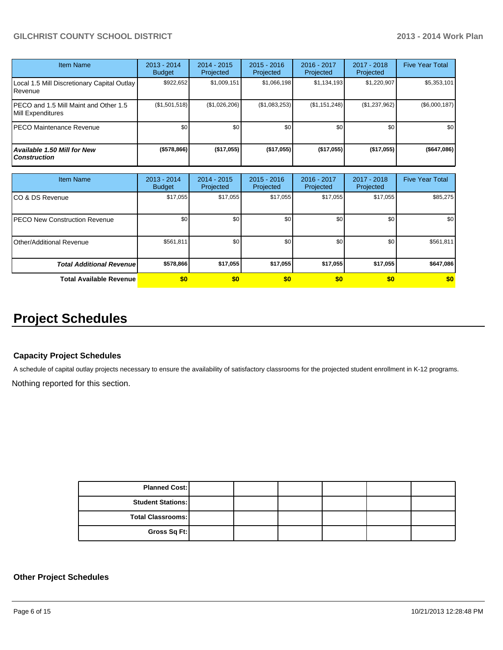| <b>Item Name</b>                                            | 2013 - 2014<br><b>Budget</b> | $2014 - 2015$<br>Projected | $2015 - 2016$<br>Projected | $2016 - 2017$<br>Projected | $2017 - 2018$<br>Projected | <b>Five Year Total</b> |
|-------------------------------------------------------------|------------------------------|----------------------------|----------------------------|----------------------------|----------------------------|------------------------|
| Local 1.5 Mill Discretionary Capital Outlay  <br>l Revenue  | \$922,652                    | \$1,009,151                | \$1,066,198                | \$1,134,193                | \$1,220,907                | \$5,353,101            |
| IPECO and 1.5 Mill Maint and Other 1.5<br>Mill Expenditures | (\$1,501,518)                | (\$1,026,206)              | (\$1,083,253)              | (S1, 151, 248)             | (\$1,237,962)              | (\$6,000,187)          |
| IPECO Maintenance Revenue                                   | \$0                          | \$0                        | \$0                        | \$0                        | \$0                        | \$0                    |
| Available 1.50 Mill for New \<br>l Construction             | ( \$578, 866)                | ( \$17,055]                | $($ \$17,055)              | (\$17,055)                 | (\$17,055)                 | (\$647,086)            |

| <b>Item Name</b>                 | 2013 - 2014<br><b>Budget</b> | $2014 - 2015$<br>Projected | $2015 - 2016$<br>Projected | 2016 - 2017<br>Projected | 2017 - 2018<br>Projected | <b>Five Year Total</b> |
|----------------------------------|------------------------------|----------------------------|----------------------------|--------------------------|--------------------------|------------------------|
| ICO & DS Revenue                 | \$17,055                     | \$17,055                   | \$17,055                   | \$17,055                 | \$17,055                 | \$85,275               |
| IPECO New Construction Revenue   | \$0                          | \$0                        | \$0                        | \$0                      | \$0 <sub>1</sub>         | \$0 <sub>1</sub>       |
| IOther/Additional Revenue        | \$561,811                    | \$0                        | \$0                        | \$0                      | \$0                      | \$561,811              |
| <b>Total Additional Revenuel</b> | \$578,866                    | \$17,055                   | \$17,055                   | \$17,055                 | \$17,055                 | \$647,086              |
| <b>Total Available Revenue</b>   | \$0                          | \$0                        | \$0                        | \$0                      | \$0                      | \$0                    |

# **Project Schedules**

#### **Capacity Project Schedules**

A schedule of capital outlay projects necessary to ensure the availability of satisfactory classrooms for the projected student enrollment in K-12 programs.

Nothing reported for this section.

| <b>Planned Cost:</b>     |  |  |  |
|--------------------------|--|--|--|
| <b>Student Stations:</b> |  |  |  |
| <b>Total Classrooms:</b> |  |  |  |
| Gross Sq Ft:             |  |  |  |

### **Other Project Schedules**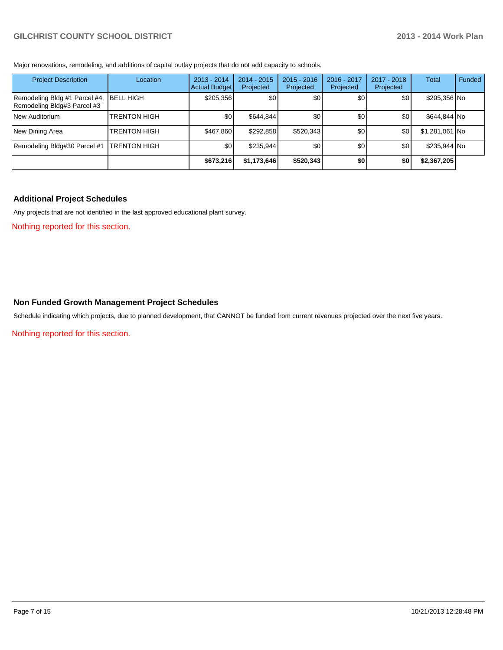Major renovations, remodeling, and additions of capital outlay projects that do not add capacity to schools.

| <b>Project Description</b>                                   | Location            | $2013 - 2014$<br><b>Actual Budget</b> | $2014 - 2015$<br>Projected | $2015 - 2016$<br>Projected | 2016 - 2017<br>Projected | 2017 - 2018<br>Projected | Total          | Funded |
|--------------------------------------------------------------|---------------------|---------------------------------------|----------------------------|----------------------------|--------------------------|--------------------------|----------------|--------|
| Remodeling Bldg #1 Parcel #4,<br>Remodeling Bldg#3 Parcel #3 | <b>BELL HIGH</b>    | \$205,356                             | \$0                        | \$0                        | \$0                      | \$0                      | \$205,356 No   |        |
| <b>INew Auditorium</b>                                       | <b>TRENTON HIGH</b> | \$0                                   | \$644,844                  | \$0                        | \$0 <sub>1</sub>         | \$0                      | \$644,844 No   |        |
| New Dining Area                                              | <b>TRENTON HIGH</b> | \$467.860                             | \$292,858                  | \$520.343                  | \$0                      | \$0                      | \$1,281,061 No |        |
| Remodeling Bldg#30 Parcel #1                                 | <b>TRENTON HIGH</b> | \$0                                   | \$235,944                  | \$0 <sub>l</sub>           | \$0                      | \$0                      | \$235,944 No   |        |
|                                                              |                     | \$673,216                             | \$1,173,646                | \$520,343                  | \$0                      | \$0                      | \$2,367,205    |        |

#### **Additional Project Schedules**

Any projects that are not identified in the last approved educational plant survey.

Nothing reported for this section.

#### **Non Funded Growth Management Project Schedules**

Schedule indicating which projects, due to planned development, that CANNOT be funded from current revenues projected over the next five years.

Nothing reported for this section.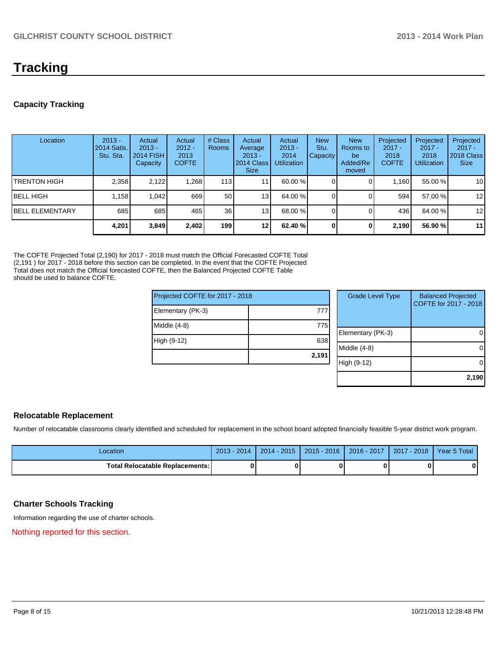# **Tracking**

## **Capacity Tracking**

| Location                | $2013 -$<br><b>2014 Satis.</b><br>Stu. Sta. | Actual<br>$2013 -$<br><b>2014 FISH</b><br>Capacity | Actual<br>$2012 -$<br>2013<br><b>COFTE</b> | # Class<br>Rooms | Actual<br>Average<br>$2013 -$<br>2014 Class<br><b>Size</b> | Actual<br>$2013 -$<br>2014<br><b>Utilization</b> | <b>New</b><br>Stu.<br>Capacity | <b>New</b><br>Rooms to<br>be<br>Added/Re<br>moved | Projected<br>$2017 -$<br>2018<br><b>COFTE</b> | Projected<br>$2017 -$<br>2018<br><b>Utilization</b> | Projected<br>$2017 -$<br>2018 Class<br><b>Size</b> |
|-------------------------|---------------------------------------------|----------------------------------------------------|--------------------------------------------|------------------|------------------------------------------------------------|--------------------------------------------------|--------------------------------|---------------------------------------------------|-----------------------------------------------|-----------------------------------------------------|----------------------------------------------------|
| ITRENTON HIGH           | 2,358                                       | 2.122                                              | 1.268                                      | 113              | 11                                                         | 60.00 %                                          |                                |                                                   | 1.160                                         | 55.00 %                                             | 10                                                 |
| <b>IBELL HIGH</b>       | 1.158                                       | 1.042                                              | 669                                        | 50               | 13                                                         | 64.00 %                                          |                                |                                                   | 594                                           | 57.00 %                                             | 12                                                 |
| <b>IBELL ELEMENTARY</b> | 685                                         | 685                                                | 465                                        | 36 <sup>1</sup>  | 13                                                         | 68.00 %                                          |                                |                                                   | 436 l                                         | 64.00%                                              | 12                                                 |
|                         | 4,201                                       | 3,849                                              | 2,402                                      | 199 l            | 12                                                         | 62.40%                                           | $\mathbf{0}$                   |                                                   | 2,190                                         | 56.90 %                                             | 11                                                 |

The COFTE Projected Total (2,190) for 2017 - 2018 must match the Official Forecasted COFTE Total (2,191 ) for 2017 - 2018 before this section can be completed. In the event that the COFTE Projected Total does not match the Official forecasted COFTE, then the Balanced Projected COFTE Table should be used to balance COFTE.

 $|P$ roj

| Projected COFTE for 2017 - 2018 |       | <b>Grade Level Type</b> | <b>Balanced Projected</b><br>COFTE for 2017 - 2018 |
|---------------------------------|-------|-------------------------|----------------------------------------------------|
| Elementary (PK-3)               | 777   |                         |                                                    |
| Middle (4-8)                    | 775   |                         |                                                    |
|                                 |       | Elementary (PK-3)       | 0                                                  |
| High (9-12)                     | 638   |                         |                                                    |
|                                 |       | Middle (4-8)            | 0                                                  |
|                                 | 2,191 |                         |                                                    |
|                                 |       | High (9-12)             | 0                                                  |
|                                 |       |                         |                                                    |
|                                 |       |                         | 2,190                                              |

### **Relocatable Replacement**

Number of relocatable classrooms clearly identified and scheduled for replacement in the school board adopted financially feasible 5-year district work program.

| Location                               | $2013 - 2014$ | $2014 - 2015$ | $2015 - 2016$ | $2016 - 2017$ | 2017 - 2018 | Year 5 Total |
|----------------------------------------|---------------|---------------|---------------|---------------|-------------|--------------|
| <b>Total Relocatable Replacements:</b> |               |               |               |               |             |              |

### **Charter Schools Tracking**

Information regarding the use of charter schools.

Nothing reported for this section.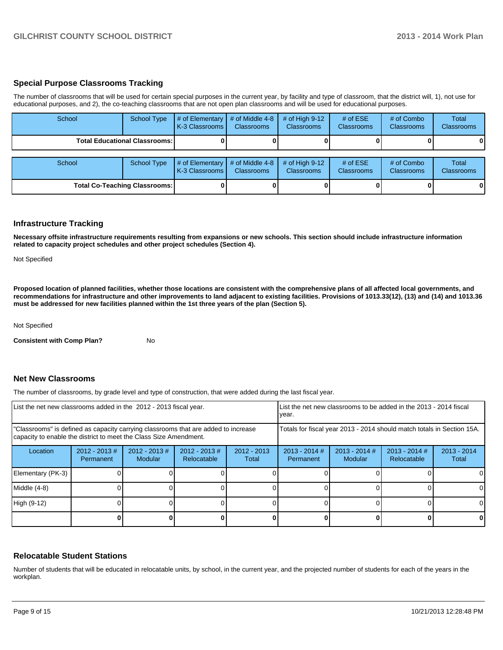#### **Special Purpose Classrooms Tracking**

The number of classrooms that will be used for certain special purposes in the current year, by facility and type of classroom, that the district will, 1), not use for educational purposes, and 2), the co-teaching classrooms that are not open plan classrooms and will be used for educational purposes.

| School | <b>School Type</b>                     | # of Elementary<br>K-3 Classrooms | # of Middle 4-8<br><b>Classrooms</b> | # of High $9-12$<br><b>Classrooms</b> | # of $ESE$<br><b>Classrooms</b> | # of Combo<br><b>Classrooms</b> | Total<br><b>Classrooms</b> |
|--------|----------------------------------------|-----------------------------------|--------------------------------------|---------------------------------------|---------------------------------|---------------------------------|----------------------------|
|        | <b>Total Educational Classrooms: I</b> |                                   |                                      |                                       |                                 |                                 | 0                          |
|        |                                        |                                   |                                      |                                       |                                 |                                 |                            |
| School | <b>School Type</b>                     | # of Elementary<br>K-3 Classrooms | # of Middle 4-8<br><b>Classrooms</b> | # of High $9-12$<br><b>Classrooms</b> | # of $ESE$<br><b>Classrooms</b> | # of Combo<br><b>Classrooms</b> | Total<br><b>Classrooms</b> |
|        | <b>Total Co-Teaching Classrooms:</b>   |                                   |                                      |                                       |                                 |                                 | $\mathbf{0}$               |

#### **Infrastructure Tracking**

**Necessary offsite infrastructure requirements resulting from expansions or new schools. This section should include infrastructure information related to capacity project schedules and other project schedules (Section 4).**

Not Specified

**Proposed location of planned facilities, whether those locations are consistent with the comprehensive plans of all affected local governments, and recommendations for infrastructure and other improvements to land adjacent to existing facilities. Provisions of 1013.33(12), (13) and (14) and 1013.36 must be addressed for new facilities planned within the 1st three years of the plan (Section 5).**

Not Specified

**Consistent with Comp Plan?** No

#### **Net New Classrooms**

The number of classrooms, by grade level and type of construction, that were added during the last fiscal year.

| List the net new classrooms added in the 2012 - 2013 fiscal year.                                                                                       | vear.                         | List the net new classrooms to be added in the 2013 - 2014 fiscal |                                |                        |                                                                        |                            |                                |                        |
|---------------------------------------------------------------------------------------------------------------------------------------------------------|-------------------------------|-------------------------------------------------------------------|--------------------------------|------------------------|------------------------------------------------------------------------|----------------------------|--------------------------------|------------------------|
| "Classrooms" is defined as capacity carrying classrooms that are added to increase<br>capacity to enable the district to meet the Class Size Amendment. |                               |                                                                   |                                |                        | Totals for fiscal year 2013 - 2014 should match totals in Section 15A. |                            |                                |                        |
| Location                                                                                                                                                | $2012 - 2013 \#$<br>Permanent | $2012 - 2013$ #<br>Modular                                        | $2012 - 2013$ #<br>Relocatable | $2012 - 2013$<br>Total | $2013 - 2014$ #<br>Permanent                                           | $2013 - 2014$ #<br>Modular | $2013 - 2014$ #<br>Relocatable | $2013 - 2014$<br>Total |
| Elementary (PK-3)                                                                                                                                       |                               |                                                                   |                                |                        |                                                                        |                            |                                | 0                      |
| Middle (4-8)                                                                                                                                            |                               |                                                                   |                                |                        |                                                                        |                            |                                | $\Omega$               |
| High (9-12)                                                                                                                                             |                               |                                                                   |                                |                        |                                                                        |                            |                                | 0                      |
|                                                                                                                                                         |                               |                                                                   |                                |                        |                                                                        |                            |                                | 0                      |

#### **Relocatable Student Stations**

Number of students that will be educated in relocatable units, by school, in the current year, and the projected number of students for each of the years in the workplan.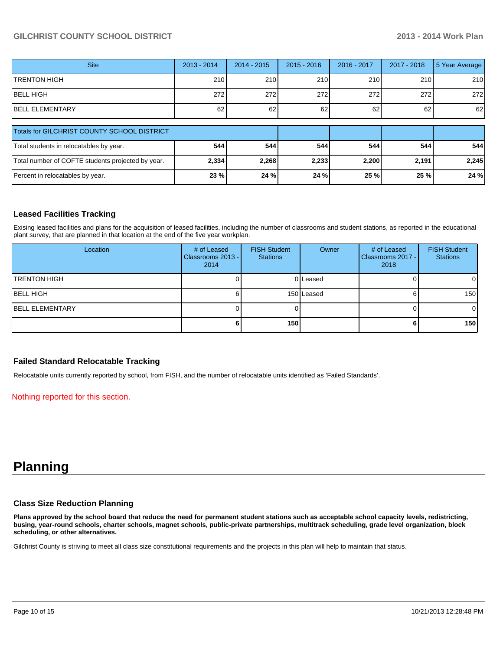| <b>Site</b>                                       | $2013 - 2014$ | $2014 - 2015$ | $2015 - 2016$ | 2016 - 2017 | 2017 - 2018 | 5 Year Average |
|---------------------------------------------------|---------------|---------------|---------------|-------------|-------------|----------------|
| <b>TRENTON HIGH</b>                               | 210           | 210           | 210           | 210         | 210         | 210            |
| IBELL HIGH                                        | 272           | 272           | 272           | 272         | 272         | 272            |
| <b>BELL ELEMENTARY</b>                            | 62            | 62            | 62            | 62          | 62          | 62             |
| Totals for GILCHRIST COUNTY SCHOOL DISTRICT       |               |               |               |             |             |                |
| Total students in relocatables by year.           | 544           | 544           | 544           | 544         | 544         | 544 l          |
| Total number of COFTE students projected by year. | 2,334         | 2,268         | 2.233         | 2,200       | 2,191       | 2,245          |
| Percent in relocatables by year.                  | 23 %          | 24 %          | 24 %          | 25 %        | 25 %        | 24 %           |

### **Leased Facilities Tracking**

Exising leased facilities and plans for the acquisition of leased facilities, including the number of classrooms and student stations, as reported in the educational plant survey, that are planned in that location at the end of the five year workplan.

| Location                | # of Leased<br>Classrooms 2013 - I<br>2014 | <b>FISH Student</b><br><b>Stations</b> | Owner      | # of Leased<br>Classrooms 2017 -<br>2018 | <b>FISH Student</b><br><b>Stations</b> |
|-------------------------|--------------------------------------------|----------------------------------------|------------|------------------------------------------|----------------------------------------|
| <b>ITRENTON HIGH</b>    |                                            |                                        | 0 Leased   |                                          | $\overline{0}$                         |
| IBELL HIGH              |                                            |                                        | 150 Leased |                                          | 150                                    |
| <b>IBELL ELEMENTARY</b> |                                            |                                        |            |                                          | $\overline{0}$                         |
|                         |                                            | 150                                    |            |                                          | 150 <sup>1</sup>                       |

#### **Failed Standard Relocatable Tracking**

Relocatable units currently reported by school, from FISH, and the number of relocatable units identified as 'Failed Standards'.

Nothing reported for this section.

# **Planning**

#### **Class Size Reduction Planning**

**Plans approved by the school board that reduce the need for permanent student stations such as acceptable school capacity levels, redistricting, busing, year-round schools, charter schools, magnet schools, public-private partnerships, multitrack scheduling, grade level organization, block scheduling, or other alternatives.**

Gilchrist County is striving to meet all class size constitutional requirements and the projects in this plan will help to maintain that status.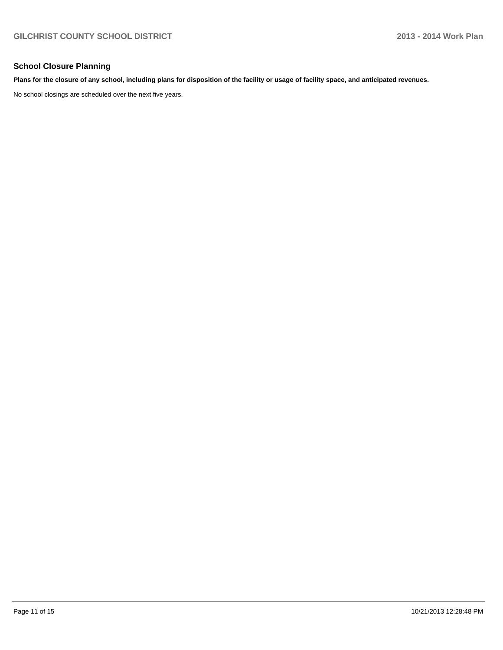### **School Closure Planning**

#### **Plans for the closure of any school, including plans for disposition of the facility or usage of facility space, and anticipated revenues.**

No school closings are scheduled over the next five years.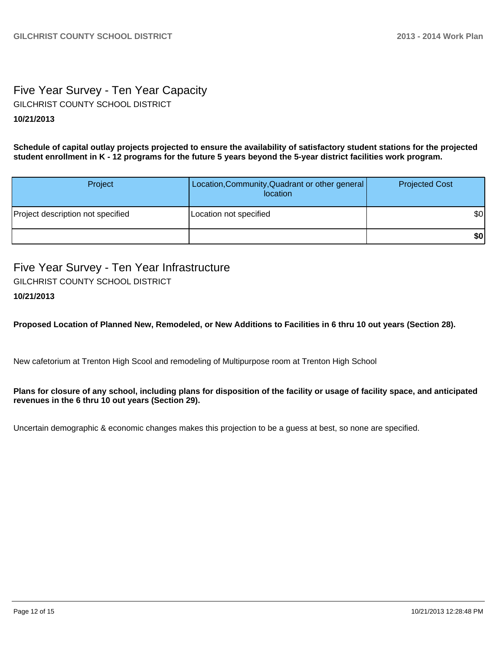# Five Year Survey - Ten Year Capacity **10/21/2013** GILCHRIST COUNTY SCHOOL DISTRICT

**Schedule of capital outlay projects projected to ensure the availability of satisfactory student stations for the projected student enrollment in K - 12 programs for the future 5 years beyond the 5-year district facilities work program.**

| Project                           | Location, Community, Quadrant or other general<br>location | <b>Projected Cost</b> |
|-----------------------------------|------------------------------------------------------------|-----------------------|
| Project description not specified | Location not specified                                     | \$0                   |
|                                   |                                                            | \$0                   |

Five Year Survey - Ten Year Infrastructure GILCHRIST COUNTY SCHOOL DISTRICT

# **10/21/2013**

**Proposed Location of Planned New, Remodeled, or New Additions to Facilities in 6 thru 10 out years (Section 28).**

New cafetorium at Trenton High Scool and remodeling of Multipurpose room at Trenton High School

#### **Plans for closure of any school, including plans for disposition of the facility or usage of facility space, and anticipated revenues in the 6 thru 10 out years (Section 29).**

Uncertain demographic & economic changes makes this projection to be a guess at best, so none are specified.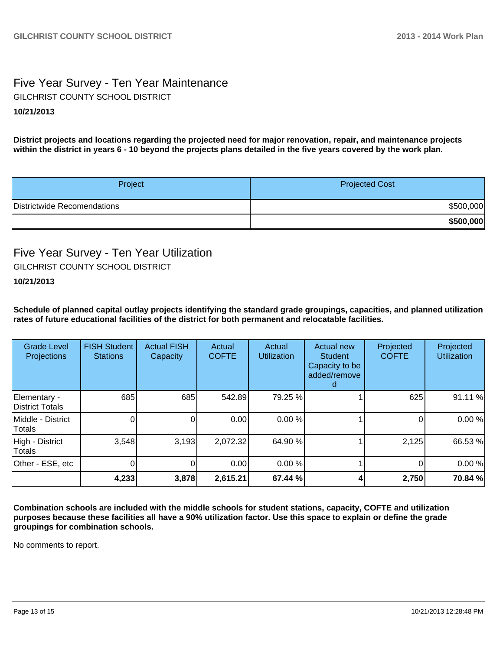# Five Year Survey - Ten Year Maintenance **10/21/2013** GILCHRIST COUNTY SCHOOL DISTRICT

**District projects and locations regarding the projected need for major renovation, repair, and maintenance projects within the district in years 6 - 10 beyond the projects plans detailed in the five years covered by the work plan.**

| Project                     | <b>Projected Cost</b> |
|-----------------------------|-----------------------|
| Districtwide Recomendations | \$500,000             |
|                             | \$500,000             |

# Five Year Survey - Ten Year Utilization GILCHRIST COUNTY SCHOOL DISTRICT

## **10/21/2013**

**Schedule of planned capital outlay projects identifying the standard grade groupings, capacities, and planned utilization rates of future educational facilities of the district for both permanent and relocatable facilities.**

| <b>Grade Level</b><br>Projections | <b>FISH Student</b><br><b>Stations</b> | <b>Actual FISH</b><br>Capacity | Actual<br><b>COFTE</b> | Actual<br><b>Utilization</b> | Actual new<br><b>Student</b><br>Capacity to be<br>added/remove<br>d | Projected<br><b>COFTE</b> | Projected<br><b>Utilization</b> |
|-----------------------------------|----------------------------------------|--------------------------------|------------------------|------------------------------|---------------------------------------------------------------------|---------------------------|---------------------------------|
| Elementary -<br>District Totals   | 685                                    | 685                            | 542.89                 | 79.25 %                      |                                                                     | 625                       | 91.11%                          |
| IMiddle - District<br>Totals      |                                        | $\Omega$                       | 0.00                   | 0.00 %                       |                                                                     |                           | 0.00%                           |
| High - District<br>Totals         | 3,548                                  | 3,193                          | 2,072.32               | 64.90 %                      |                                                                     | 2,125                     | 66.53%                          |
| Other - ESE, etc                  |                                        | 0                              | 0.00                   | 0.00 %                       |                                                                     | 0                         | 0.00%                           |
|                                   | 4,233                                  | 3,878                          | 2,615.21               | 67.44 %                      |                                                                     | 2,750                     | 70.84 %                         |

**Combination schools are included with the middle schools for student stations, capacity, COFTE and utilization purposes because these facilities all have a 90% utilization factor. Use this space to explain or define the grade groupings for combination schools.**

No comments to report.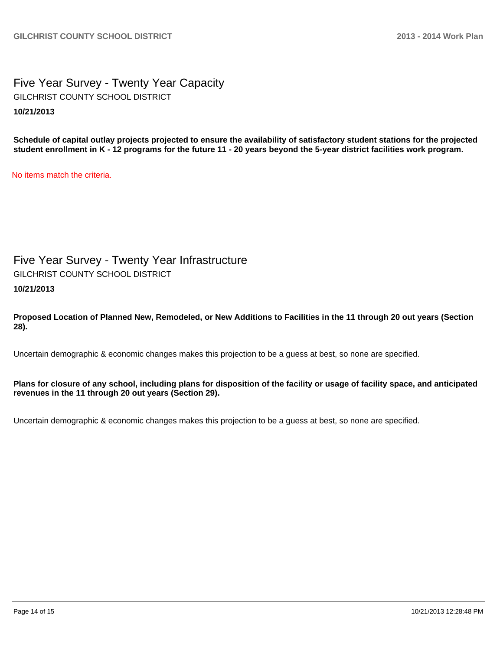Five Year Survey - Twenty Year Capacity **10/21/2013** GILCHRIST COUNTY SCHOOL DISTRICT

**Schedule of capital outlay projects projected to ensure the availability of satisfactory student stations for the projected student enrollment in K - 12 programs for the future 11 - 20 years beyond the 5-year district facilities work program.**

No items match the criteria.

Five Year Survey - Twenty Year Infrastructure GILCHRIST COUNTY SCHOOL DISTRICT

**10/21/2013**

**Proposed Location of Planned New, Remodeled, or New Additions to Facilities in the 11 through 20 out years (Section 28).**

Uncertain demographic & economic changes makes this projection to be a guess at best, so none are specified.

**Plans for closure of any school, including plans for disposition of the facility or usage of facility space, and anticipated revenues in the 11 through 20 out years (Section 29).**

Uncertain demographic & economic changes makes this projection to be a guess at best, so none are specified.